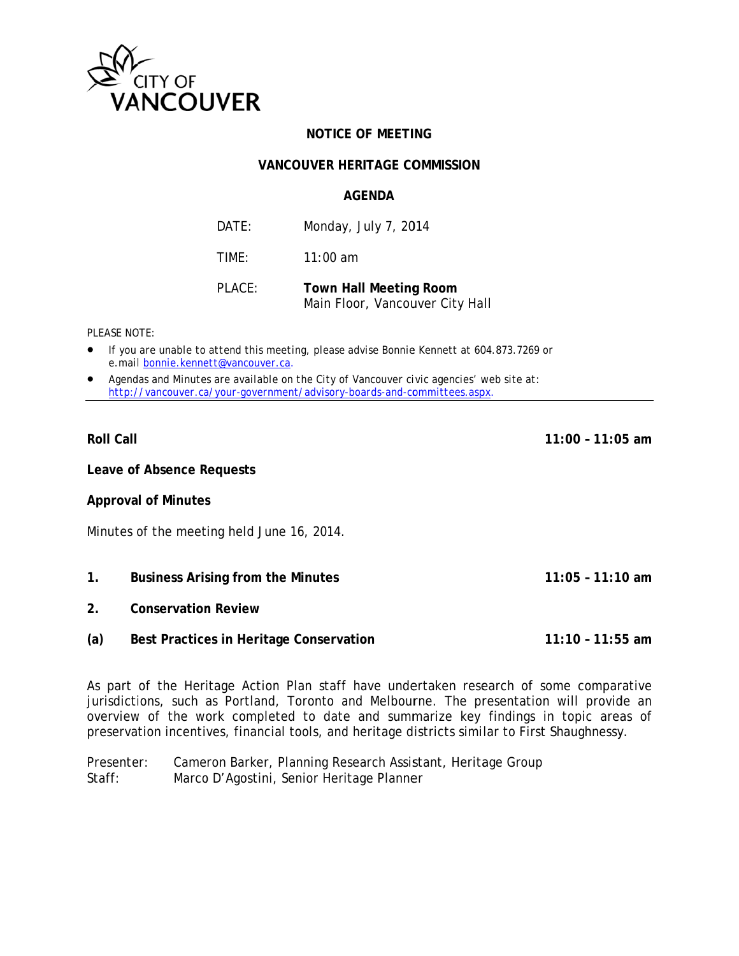

# **NOTICE OF MEETING**

## **VANCOUVER HERITAGE COMMISSION**

## **AGFNDA**

| DATF:  | Monday, July 7, 2014          |
|--------|-------------------------------|
| TIME:  | $11:00$ am                    |
| PLACE: | <b>Town Hall Meeting Room</b> |

Main Floor, Vancouver City Hall

#### PLEASE NOTE:

- If you are unable to attend this meeting, please advise Bonnie Kennett at 604.873.7269 or e.mail bonnie.kennett@vancouver.ca.
- Agendas and Minutes are available on the City of Vancouver civic agencies' web site at: http://vancouver.ca/your-government/advisory-boards-and-committees.aspx.

## **Roll Call**

 $11:00 - 11:05$  am

Leave of Absence Requests

**Approval of Minutes** 

Minutes of the meeting held June 16, 2014.

- $1<sup>1</sup>$ **Business Arising from the Minutes**  $11:05 - 11:10$  am
- $2<sub>1</sub>$ **Conservation Review**
- $(a)$ Best Practices in Heritage Conservation  $11:10 - 11:55$  am

As part of the Heritage Action Plan staff have undertaken research of some comparative jurisdictions, such as Portland, Toronto and Melbourne. The presentation will provide an overview of the work completed to date and summarize key findings in topic areas of preservation incentives, financial tools, and heritage districts similar to First Shaughnessy.

Presenter: Cameron Barker, Planning Research Assistant, Heritage Group  $Staff:$ Marco D'Agostini, Senior Heritage Planner